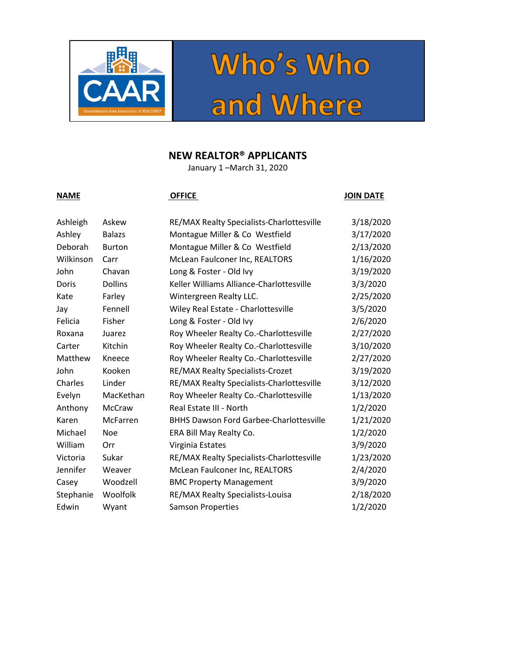



## **NEW REALTOR® APPLICANTS**

January 1 –March 31, 2020

### **NAME OFFICE OFFICE OFFICE JOIN DATE**

| Ashleigh  | Askew          | RE/MAX Realty Specialists-Charlottesville      | 3/18/2020 |
|-----------|----------------|------------------------------------------------|-----------|
| Ashley    | <b>Balazs</b>  | Montague Miller & Co Westfield                 | 3/17/2020 |
| Deborah   | <b>Burton</b>  | Montague Miller & Co Westfield                 | 2/13/2020 |
| Wilkinson | Carr           | McLean Faulconer Inc, REALTORS                 | 1/16/2020 |
| John      | Chavan         | Long & Foster - Old Ivy                        | 3/19/2020 |
| Doris     | <b>Dollins</b> | Keller Williams Alliance-Charlottesville       | 3/3/2020  |
| Kate      | Farley         | Wintergreen Realty LLC.                        | 2/25/2020 |
| Jay       | Fennell        | Wiley Real Estate - Charlottesville            | 3/5/2020  |
| Felicia   | Fisher         | Long & Foster - Old Ivy                        | 2/6/2020  |
| Roxana    | Juarez         | Roy Wheeler Realty Co.-Charlottesville         | 2/27/2020 |
| Carter    | Kitchin        | Roy Wheeler Realty Co.-Charlottesville         | 3/10/2020 |
| Matthew   | Kneece         | Roy Wheeler Realty Co.-Charlottesville         | 2/27/2020 |
| John      | Kooken         | RE/MAX Realty Specialists-Crozet               | 3/19/2020 |
| Charles   | Linder         | RE/MAX Realty Specialists-Charlottesville      | 3/12/2020 |
| Evelyn    | MacKethan      | Roy Wheeler Realty Co.-Charlottesville         | 1/13/2020 |
| Anthony   | McCraw         | Real Estate III - North                        | 1/2/2020  |
| Karen     | McFarren       | <b>BHHS Dawson Ford Garbee-Charlottesville</b> | 1/21/2020 |
| Michael   | Noe            | ERA Bill May Realty Co.                        | 1/2/2020  |
| William   | Orr            | Virginia Estates                               | 3/9/2020  |
| Victoria  | Sukar          | RE/MAX Realty Specialists-Charlottesville      | 1/23/2020 |
| Jennifer  | Weaver         | McLean Faulconer Inc, REALTORS                 | 2/4/2020  |
| Casey     | Woodzell       | <b>BMC Property Management</b>                 | 3/9/2020  |
| Stephanie | Woolfolk       | RE/MAX Realty Specialists-Louisa               | 2/18/2020 |
| Edwin     | Wyant          | <b>Samson Properties</b>                       | 1/2/2020  |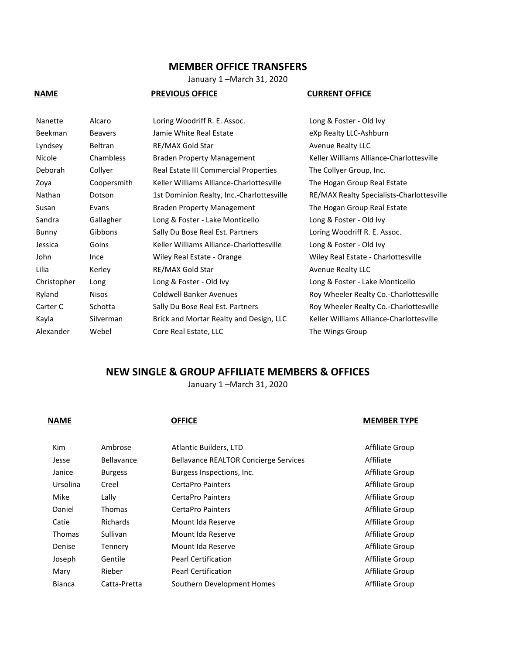### **MEMBER OFFICE TRANSFERS**

January 1 –March 31, 2020

### **NAME PREVIOUS OFFICE CURRENT OFFICE**

| Nanette        | Alcaro         | Loring Woodriff R. E. Assoc.              | Long & Foster - Old Ivy                   |
|----------------|----------------|-------------------------------------------|-------------------------------------------|
| <b>Beekman</b> | <b>Beavers</b> | Jamie White Real Estate                   | eXp Realty LLC-Ashburn                    |
| Lyndsey        | Beltran        | RE/MAX Gold Star                          | <b>Avenue Realty LLC</b>                  |
| Nicole         | Chambless      | <b>Braden Property Management</b>         | Keller Williams Alliance-Charlottesville  |
| Deborah        | Collyer        | Real Estate III Commercial Properties     | The Collyer Group, Inc.                   |
| Zoya           | Coopersmith    | Keller Williams Alliance-Charlottesville  | The Hogan Group Real Estate               |
| Nathan         | Dotson         | 1st Dominion Realty, Inc.-Charlottesville | RE/MAX Realty Specialists-Charlottesville |
| Susan          | Evans          | <b>Braden Property Management</b>         | The Hogan Group Real Estate               |
| Sandra         | Gallagher      | Long & Foster - Lake Monticello           | Long & Foster - Old Ivy                   |
| Bunny          | Gibbons        | Sally Du Bose Real Est. Partners          | Loring Woodriff R. E. Assoc.              |
| Jessica        | Goins          | Keller Williams Alliance-Charlottesville  | Long & Foster - Old Ivy                   |
| John           | Ince           | Wiley Real Estate - Orange                | Wiley Real Estate - Charlottesville       |
| Lilia          | Kerley         | RE/MAX Gold Star                          | <b>Avenue Realty LLC</b>                  |
| Christopher    | Long           | Long & Foster - Old Ivy                   | Long & Foster - Lake Monticello           |
| Ryland         | <b>Nisos</b>   | <b>Coldwell Banker Avenues</b>            | Roy Wheeler Realty Co.-Charlottesville    |
| Carter C       | Schotta        | Sally Du Bose Real Est. Partners          | Roy Wheeler Realty Co.-Charlottesville    |
| Kayla          | Silverman      | Brick and Mortar Realty and Design, LLC   | Keller Williams Alliance-Charlottesville  |
| Alexander      | Webel          | Core Real Estate, LLC                     | The Wings Group                           |
|                |                |                                           |                                           |

### **NEW SINGLE & GROUP AFFILIATE MEMBERS & OFFICES**

January 1 –March 31, 2020

### **NAME OFFICE OFFICE MEMBER TYPE**

| <b>Kim</b>    | Ambrose         | Atlantic Builders, LTD                       | Affiliate Group |
|---------------|-----------------|----------------------------------------------|-----------------|
| Jesse         | Bellavance      | <b>Bellavance REALTOR Concierge Services</b> | Affiliate       |
| Janice        | <b>Burgess</b>  | Burgess Inspections, Inc.                    | Affiliate Group |
| Ursolina      | Creel           | CertaPro Painters                            | Affiliate Group |
| Mike          | Lally           | CertaPro Painters                            | Affiliate Group |
| Daniel        | Thomas          | CertaPro Painters                            | Affiliate Group |
| Catie         | <b>Richards</b> | Mount Ida Reserve                            | Affiliate Group |
| <b>Thomas</b> | Sullivan        | Mount Ida Reserve                            | Affiliate Group |
| Denise        | Tennery         | Mount Ida Reserve                            | Affiliate Group |
| Joseph        | Gentile         | <b>Pearl Certification</b>                   | Affiliate Group |
| Mary          | Rieber          | <b>Pearl Certification</b>                   | Affiliate Group |
| <b>Bianca</b> | Catta-Pretta    | Southern Development Homes                   | Affiliate Group |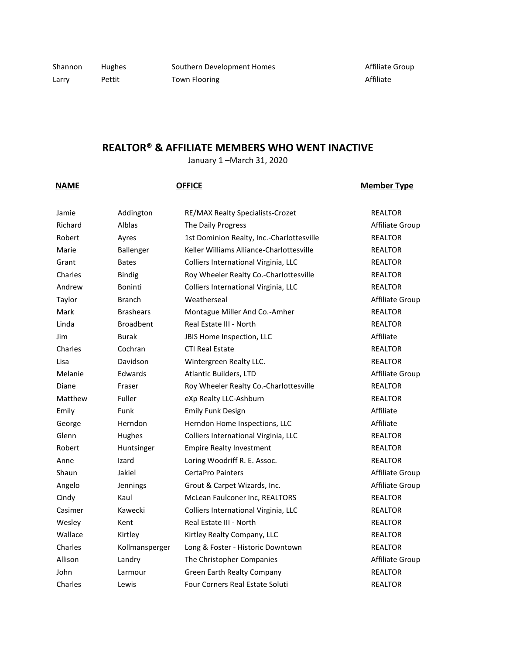Shannon Hughes Southern Development Homes **Southern Development Homes** Affiliate Group Larry Pettit Town Flooring Communications Affiliate

# **REALTOR® & AFFILIATE MEMBERS WHO WENT INACTIVE**

January 1 –March 31, 2020

## **NAME OFFICE OFFICE Member Type**

| Jamie   | Addington        | RE/MAX Realty Specialists-Crozet          | <b>REALTOR</b>  |
|---------|------------------|-------------------------------------------|-----------------|
| Richard | <b>Alblas</b>    | The Daily Progress                        | Affiliate Group |
| Robert  | Ayres            | 1st Dominion Realty, Inc.-Charlottesville | <b>REALTOR</b>  |
| Marie   | Ballenger        | Keller Williams Alliance-Charlottesville  | <b>REALTOR</b>  |
| Grant   | <b>Bates</b>     | Colliers International Virginia, LLC      | <b>REALTOR</b>  |
| Charles | <b>Bindig</b>    | Roy Wheeler Realty Co.-Charlottesville    | <b>REALTOR</b>  |
| Andrew  | Boninti          | Colliers International Virginia, LLC      | <b>REALTOR</b>  |
| Taylor  | <b>Branch</b>    | Weatherseal                               | Affiliate Group |
| Mark    | <b>Brashears</b> | Montague Miller And Co.-Amher             | <b>REALTOR</b>  |
| Linda   | <b>Broadbent</b> | Real Estate III - North                   | <b>REALTOR</b>  |
| Jim     | <b>Burak</b>     | JBIS Home Inspection, LLC                 | Affiliate       |
| Charles | Cochran          | <b>CTI Real Estate</b>                    | <b>REALTOR</b>  |
| Lisa    | Davidson         | Wintergreen Realty LLC.                   | <b>REALTOR</b>  |
| Melanie | Edwards          | Atlantic Builders, LTD                    | Affiliate Group |
| Diane   | Fraser           | Roy Wheeler Realty Co.-Charlottesville    | <b>REALTOR</b>  |
| Matthew | Fuller           | eXp Realty LLC-Ashburn                    | <b>REALTOR</b>  |
| Emily   | Funk             | <b>Emily Funk Design</b>                  | Affiliate       |
| George  | Herndon          | Herndon Home Inspections, LLC             | Affiliate       |
| Glenn   | Hughes           | Colliers International Virginia, LLC      | <b>REALTOR</b>  |
| Robert  | Huntsinger       | <b>Empire Realty Investment</b>           | <b>REALTOR</b>  |
| Anne    | Izard            | Loring Woodriff R. E. Assoc.              | <b>REALTOR</b>  |
| Shaun   | Jakiel           | <b>CertaPro Painters</b>                  | Affiliate Group |
| Angelo  | Jennings         | Grout & Carpet Wizards, Inc.              | Affiliate Group |
| Cindy   | Kaul             | McLean Faulconer Inc, REALTORS            | <b>REALTOR</b>  |
| Casimer | Kawecki          | Colliers International Virginia, LLC      | <b>REALTOR</b>  |
| Wesley  | Kent             | Real Estate III - North                   | <b>REALTOR</b>  |
| Wallace | Kirtley          | Kirtley Realty Company, LLC               | <b>REALTOR</b>  |
| Charles | Kollmansperger   | Long & Foster - Historic Downtown         | <b>REALTOR</b>  |
| Allison | Landry           | The Christopher Companies                 | Affiliate Group |
| John    | Larmour          | Green Earth Realty Company                | <b>REALTOR</b>  |
| Charles | Lewis            | <b>Four Corners Real Estate Soluti</b>    | <b>REALTOR</b>  |